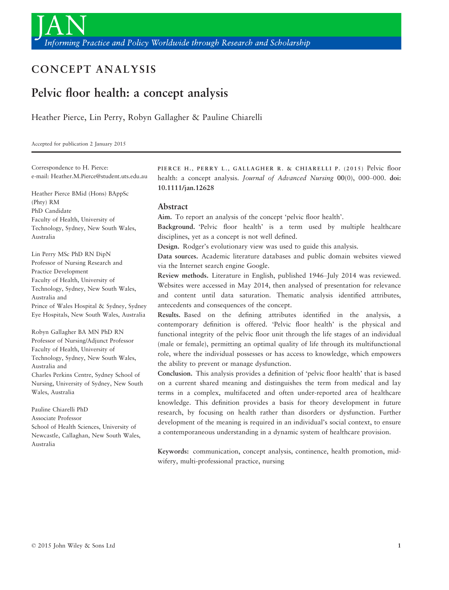# CONCEPT ANALYSIS

# Pelvic floor health: a concept analysis

Heather Pierce, Lin Perry, Robyn Gallagher & Pauline Chiarelli

Accepted for publication 2 January 2015

Correspondence to H. Pierce: e-mail: Heather.M.Pierce@student.uts.edu.au

Heather Pierce BMid (Hons) BAppSc (Phty) RM PhD Candidate Faculty of Health, University of Technology, Sydney, New South Wales, Australia

Lin Perry MSc PhD RN DipN Professor of Nursing Research and Practice Development Faculty of Health, University of Technology, Sydney, New South Wales, Australia and Prince of Wales Hospital & Sydney, Sydney Eye Hospitals, New South Wales, Australia

Robyn Gallagher BA MN PhD RN Professor of Nursing/Adjunct Professor Faculty of Health, University of Technology, Sydney, New South Wales, Australia and Charles Perkins Centre, Sydney School of Nursing, University of Sydney, New South Wales, Australia

Pauline Chiarelli PhD Associate Professor School of Health Sciences, University of Newcastle, Callaghan, New South Wales, Australia

PIERCE H., PERRY L., GALLAGHER R. & CHIARELLI P. (2015) Pelvic floor health: a concept analysis. Journal of Advanced Nursing 00(0), 000–000. doi: 10.1111/jan.12628

## Abstract

Aim. To report an analysis of the concept 'pelvic floor health'.

Background. 'Pelvic floor health' is a term used by multiple healthcare disciplines, yet as a concept is not well defined.

Design. Rodger's evolutionary view was used to guide this analysis.

Data sources. Academic literature databases and public domain websites viewed via the Internet search engine Google.

Review methods. Literature in English, published 1946–July 2014 was reviewed. Websites were accessed in May 2014, then analysed of presentation for relevance and content until data saturation. Thematic analysis identified attributes, antecedents and consequences of the concept.

Results. Based on the defining attributes identified in the analysis, a contemporary definition is offered. 'Pelvic floor health' is the physical and functional integrity of the pelvic floor unit through the life stages of an individual (male or female), permitting an optimal quality of life through its multifunctional role, where the individual possesses or has access to knowledge, which empowers the ability to prevent or manage dysfunction.

Conclusion. This analysis provides a definition of 'pelvic floor health' that is based on a current shared meaning and distinguishes the term from medical and lay terms in a complex, multifaceted and often under-reported area of healthcare knowledge. This definition provides a basis for theory development in future research, by focusing on health rather than disorders or dysfunction. Further development of the meaning is required in an individual's social context, to ensure a contemporaneous understanding in a dynamic system of healthcare provision.

Keywords: communication, concept analysis, continence, health promotion, midwifery, multi-professional practice, nursing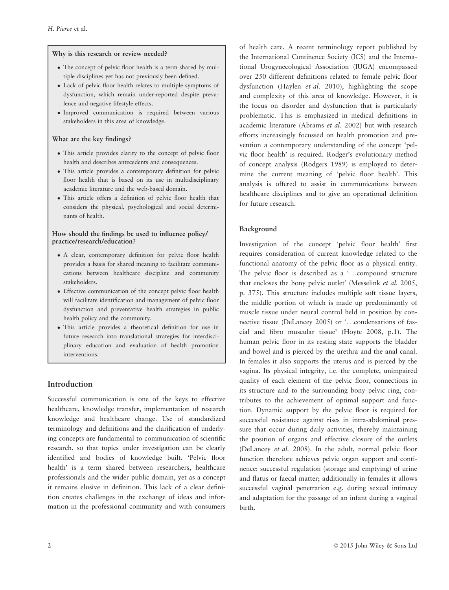### Why is this research or review needed?

- The concept of pelvic floor health is a term shared by multiple disciplines yet has not previously been defined.
- Lack of pelvic floor health relates to multiple symptoms of dysfunction, which remain under-reported despite prevalence and negative lifestyle effects.
- Improved communication is required between various stakeholders in this area of knowledge.

## What are the key findings?

- This article provides clarity to the concept of pelvic floor health and describes antecedents and consequences.
- This article provides a contemporary definition for pelvic floor health that is based on its use in multidisciplinary academic literature and the web-based domain.
- This article offers a definition of pelvic floor health that considers the physical, psychological and social determinants of health.

#### How should the findings be used to influence policy/ practice/research/education?

- A clear, contemporary definition for pelvic floor health provides a basis for shared meaning to facilitate communications between healthcare discipline and community stakeholders.
- Effective communication of the concept pelvic floor health will facilitate identification and management of pelvic floor dysfunction and preventative health strategies in public health policy and the community.
- This article provides a theoretical definition for use in future research into translational strategies for interdisciplinary education and evaluation of health promotion interventions.

# Introduction

Successful communication is one of the keys to effective healthcare, knowledge transfer, implementation of research knowledge and healthcare change. Use of standardized terminology and definitions and the clarification of underlying concepts are fundamental to communication of scientific research, so that topics under investigation can be clearly identified and bodies of knowledge built. 'Pelvic floor health' is a term shared between researchers, healthcare professionals and the wider public domain, yet as a concept it remains elusive in definition. This lack of a clear definition creates challenges in the exchange of ideas and information in the professional community and with consumers

of health care. A recent terminology report published by the International Continence Society (ICS) and the International Urogynecological Association (IUGA) encompassed over 250 different definitions related to female pelvic floor dysfunction (Haylen et al. 2010), highlighting the scope and complexity of this area of knowledge. However, it is the focus on disorder and dysfunction that is particularly problematic. This is emphasized in medical definitions in academic literature (Abrams et al. 2002) but with research efforts increasingly focussed on health promotion and prevention a contemporary understanding of the concept 'pelvic floor health' is required. Rodger's evolutionary method of concept analysis (Rodgers 1989) is employed to determine the current meaning of 'pelvic floor health'. This analysis is offered to assist in communications between healthcare disciplines and to give an operational definition for future research.

## Background

Investigation of the concept 'pelvic floor health' first requires consideration of current knowledge related to the functional anatomy of the pelvic floor as a physical entity. The pelvic floor is described as a '...compound structure that encloses the bony pelvic outlet' (Messelink et al. 2005, p. 375). This structure includes multiple soft tissue layers, the middle portion of which is made up predominantly of muscle tissue under neural control held in position by connective tissue (DeLancey 2005) or '...condensations of fascial and fibro muscular tissue' (Hoyte 2008, p.1). The human pelvic floor in its resting state supports the bladder and bowel and is pierced by the urethra and the anal canal. In females it also supports the uterus and is pierced by the vagina. Its physical integrity, i.e. the complete, unimpaired quality of each element of the pelvic floor, connections in its structure and to the surrounding bony pelvic ring, contributes to the achievement of optimal support and function. Dynamic support by the pelvic floor is required for successful resistance against rises in intra-abdominal pressure that occur during daily activities, thereby maintaining the position of organs and effective closure of the outlets (DeLancey et al. 2008). In the adult, normal pelvic floor function therefore achieves pelvic organ support and continence: successful regulation (storage and emptying) of urine and flatus or faecal matter; additionally in females it allows successful vaginal penetration e.g. during sexual intimacy and adaptation for the passage of an infant during a vaginal birth.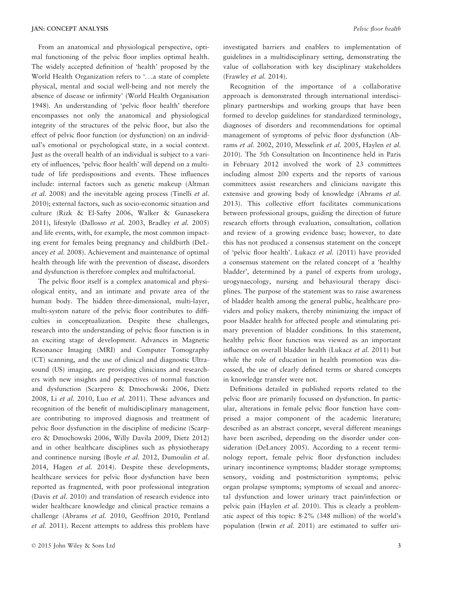From an anatomical and physiological perspective, optimal functioning of the pelvic floor implies optimal health. The widely accepted definition of 'health' proposed by the World Health Organization refers to '...a state of complete physical, mental and social well-being and not merely the absence of disease or infirmity' (World Health Organisation 1948). An understanding of 'pelvic floor health' therefore encompasses not only the anatomical and physiological integrity of the structures of the pelvic floor, but also the effect of pelvic floor function (or dysfunction) on an individual's emotional or psychological state, in a social context. Just as the overall health of an individual is subject to a variety of influences, 'pelvic floor health' will depend on a multitude of life predispositions and events. These influences include: internal factors such as genetic makeup (Altman et al. 2008) and the inevitable ageing process (Tinelli et al. 2010); external factors, such as socio-economic situation and culture (Rizk & El-Safty 2006, Walker & Gunasekera 2011), lifestyle (Dallosso et al. 2003, Bradley et al. 2005) and life events, with, for example, the most common impacting event for females being pregnancy and childbirth (DeLancey et al. 2008). Achievement and maintenance of optimal health through life with the prevention of disease, disorders and dysfunction is therefore complex and multifactorial.

The pelvic floor itself is a complex anatomical and physiological entity, and an intimate and private area of the human body. The hidden three-dimensional, multi-layer, multi-system nature of the pelvic floor contributes to difficulties in conceptualization. Despite these challenges, research into the understanding of pelvic floor function is in an exciting stage of development. Advances in Magnetic Resonance Imaging (MRI) and Computer Tomography (CT) scanning, and the use of clinical and diagnostic Ultrasound (US) imaging, are providing clinicians and researchers with new insights and perspectives of normal function and dysfunction (Scarpero & Dmochowski 2006, Dietz 2008, Li et al. 2010, Luo et al. 2011). These advances and recognition of the benefit of multidisciplinary management, are contributing to improved diagnosis and treatment of pelvic floor dysfunction in the discipline of medicine (Scarpero & Dmochowski 2006, Willy Davila 2009, Dietz 2012) and in other healthcare disciplines such as physiotherapy and continence nursing (Boyle et al. 2012, Dumoulin et al. 2014, Hagen et al. 2014). Despite these developments, healthcare services for pelvic floor dysfunction have been reported as fragmented, with poor professional integration (Davis et al. 2010) and translation of research evidence into wider healthcare knowledge and clinical practice remains a challenge (Abrams et al. 2010, Geoffrion 2010, Pentland et al. 2011). Recent attempts to address this problem have investigated barriers and enablers to implementation of guidelines in a multidisciplinary setting, demonstrating the value of collaboration with key disciplinary stakeholders (Frawley et al. 2014).

Recognition of the importance of a collaborative approach is demonstrated through international interdisciplinary partnerships and working groups that have been formed to develop guidelines for standardized terminology, diagnoses of disorders and recommendations for optimal management of symptoms of pelvic floor dysfunction (Abrams et al. 2002, 2010, Messelink et al. 2005, Haylen et al. 2010). The 5th Consultation on Incontinence held in Paris in February 2012 involved the work of 23 committees including almost 200 experts and the reports of various committees assist researchers and clinicians navigate this extensive and growing body of knowledge (Abrams et al. 2013). This collective effort facilitates communications between professional groups, guiding the direction of future research efforts through evaluation, consultation, collation and review of a growing evidence base; however, to date this has not produced a consensus statement on the concept of 'pelvic floor health'. Lukacz et al. (2011) have provided a consensus statement on the related concept of a 'healthy bladder', determined by a panel of experts from urology, urogynaecology, nursing and behavioural therapy disciplines. The purpose of the statement was to raise awareness of bladder health among the general public, healthcare providers and policy makers, thereby minimizing the impact of poor bladder health for affected people and stimulating primary prevention of bladder conditions. In this statement, healthy pelvic floor function was viewed as an important influence on overall bladder health (Lukacz et al. 2011) but while the role of education in health promotion was discussed, the use of clearly defined terms or shared concepts in knowledge transfer were not.

Definitions detailed in published reports related to the pelvic floor are primarily focussed on dysfunction. In particular, alterations in female pelvic floor function have comprised a major component of the academic literature; described as an abstract concept, several different meanings have been ascribed, depending on the disorder under consideration (DeLancey 2005). According to a recent terminology report, female pelvic floor dysfunction includes: urinary incontinence symptoms; bladder storage symptoms; sensory, voiding and postmicturition symptoms; pelvic organ prolapse symptoms; symptoms of sexual and anorectal dysfunction and lower urinary tract pain/infection or pelvic pain (Haylen et al. 2010). This is clearly a problematic aspect of this topic: 82% (348 million) of the world's population (Irwin et al. 2011) are estimated to suffer uri-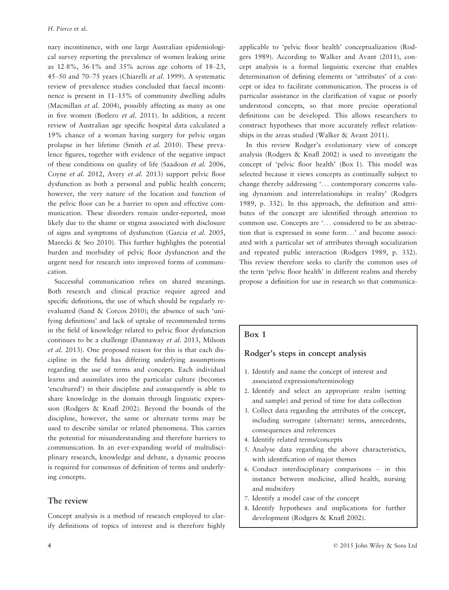nary incontinence, with one large Australian epidemiological survey reporting the prevalence of women leaking urine as  $12.8\%$ ,  $36.1\%$  and  $35\%$  across age cohorts of  $18-23$ , 45–50 and 70–75 years (Chiarelli et al. 1999). A systematic review of prevalence studies concluded that faecal incontinence is present in 11–15% of community dwelling adults (Macmillan *et al.* 2004), possibly affecting as many as one in five women (Botlero et al. 2011). In addition, a recent review of Australian age specific hospital data calculated a 19% chance of a woman having surgery for pelvic organ prolapse in her lifetime (Smith et al. 2010). These prevalence figures, together with evidence of the negative impact of these conditions on quality of life (Saadoun et al. 2006, Coyne et al. 2012, Avery et al. 2013) support pelvic floor dysfunction as both a personal and public health concern; however, the very nature of the location and function of the pelvic floor can be a barrier to open and effective communication. These disorders remain under-reported, most likely due to the shame or stigma associated with disclosure of signs and symptoms of dysfunction (Garcia et al. 2005, Marecki & Seo 2010). This further highlights the potential burden and morbidity of pelvic floor dysfunction and the urgent need for research into improved forms of communication.

Successful communication relies on shared meanings. Both research and clinical practice require agreed and specific definitions, the use of which should be regularly reevaluated (Sand & Corcos 2010); the absence of such 'unifying definitions' and lack of uptake of recommended terms in the field of knowledge related to pelvic floor dysfunction continues to be a challenge (Dannaway et al. 2013, Milsom et al. 2013). One proposed reason for this is that each discipline in the field has differing underlying assumptions regarding the use of terms and concepts. Each individual learns and assimilates into the particular culture (becomes 'encultured') in their discipline and consequently is able to share knowledge in the domain through linguistic expression (Rodgers & Knafl 2002). Beyond the bounds of the discipline, however, the same or alternate terms may be used to describe similar or related phenomena. This carries the potential for misunderstanding and therefore barriers to communication. In an ever-expanding world of multidisciplinary research, knowledge and debate, a dynamic process is required for consensus of definition of terms and underlying concepts.

# The review

Concept analysis is a method of research employed to clarify definitions of topics of interest and is therefore highly applicable to 'pelvic floor health' conceptualization (Rodgers 1989). According to Walker and Avant (2011), concept analysis is a formal linguistic exercise that enables determination of defining elements or 'attributes' of a concept or idea to facilitate communication. The process is of particular assistance in the clarification of vague or poorly understood concepts, so that more precise operational definitions can be developed. This allows researchers to construct hypotheses that more accurately reflect relationships in the areas studied (Walker & Avant 2011).

In this review Rodger's evolutionary view of concept analysis (Rodgers & Knafl 2002) is used to investigate the concept of 'pelvic floor health' (Box 1). This model was selected because it views concepts as continually subject to change thereby addressing '... contemporary concerns valuing dynamism and interrelationships in reality' (Rodgers 1989, p. 332). In this approach, the definition and attributes of the concept are identified through attention to common use. Concepts are '... considered to be an abstraction that is expressed in some form...' and become associated with a particular set of attributes through socialization and repeated public interaction (Rodgers 1989, p. 332). This review therefore seeks to clarify the common uses of the term 'pelvic floor health' in different realms and thereby propose a definition for use in research so that communica-

# Box 1

# Rodger's steps in concept analysis

- 1. Identify and name the concept of interest and associated expressions/terminology
- 2. Identify and select an appropriate realm (setting and sample) and period of time for data collection
- 3. Collect data regarding the attributes of the concept, including surrogate (alternate) terms, antecedents, consequences and references
- 4. Identify related terms/concepts
- 5. Analyse data regarding the above characteristics, with identification of major themes
- 6. Conduct interdisciplinary comparisons in this instance between medicine, allied health, nursing and midwifery
- 7. Identify a model case of the concept
- 8. Identify hypotheses and implications for further development (Rodgers & Knafl 2002).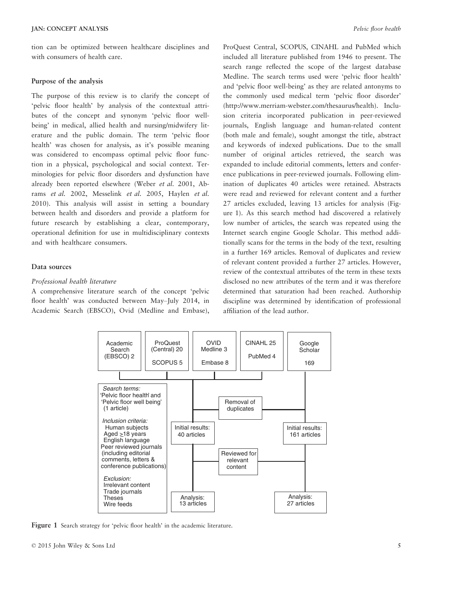tion can be optimized between healthcare disciplines and with consumers of health care.

#### Purpose of the analysis

The purpose of this review is to clarify the concept of 'pelvic floor health' by analysis of the contextual attributes of the concept and synonym 'pelvic floor wellbeing' in medical, allied health and nursing/midwifery literature and the public domain. The term 'pelvic floor health' was chosen for analysis, as it's possible meaning was considered to encompass optimal pelvic floor function in a physical, psychological and social context. Terminologies for pelvic floor disorders and dysfunction have already been reported elsewhere (Weber et al. 2001, Abrams et al. 2002, Messelink et al. 2005, Haylen et al. 2010). This analysis will assist in setting a boundary between health and disorders and provide a platform for future research by establishing a clear, contemporary, operational definition for use in multidisciplinary contexts and with healthcare consumers.

#### Data sources

### Professional health literature

A comprehensive literature search of the concept 'pelvic floor health' was conducted between May–July 2014, in Academic Search (EBSCO), Ovid (Medline and Embase), ProQuest Central, SCOPUS, CINAHL and PubMed which included all literature published from 1946 to present. The search range reflected the scope of the largest database Medline. The search terms used were 'pelvic floor health' and 'pelvic floor well-being' as they are related antonyms to the commonly used medical term 'pelvic floor disorder' [\(http://www.merriam-webster.com/thesaurus/health](http://www.merriam-webster.com/thesaurus/health)). Inclusion criteria incorporated publication in peer-reviewed journals, English language and human-related content (both male and female), sought amongst the title, abstract and keywords of indexed publications. Due to the small number of original articles retrieved, the search was expanded to include editorial comments, letters and conference publications in peer-reviewed journals. Following elimination of duplicates 40 articles were retained. Abstracts were read and reviewed for relevant content and a further 27 articles excluded, leaving 13 articles for analysis (Figure 1). As this search method had discovered a relatively low number of articles, the search was repeated using the Internet search engine Google Scholar. This method additionally scans for the terms in the body of the text, resulting in a further 169 articles. Removal of duplicates and review of relevant content provided a further 27 articles. However, review of the contextual attributes of the term in these texts disclosed no new attributes of the term and it was therefore determined that saturation had been reached. Authorship discipline was determined by identification of professional affiliation of the lead author.



Figure 1 Search strategy for 'pelvic floor health' in the academic literature.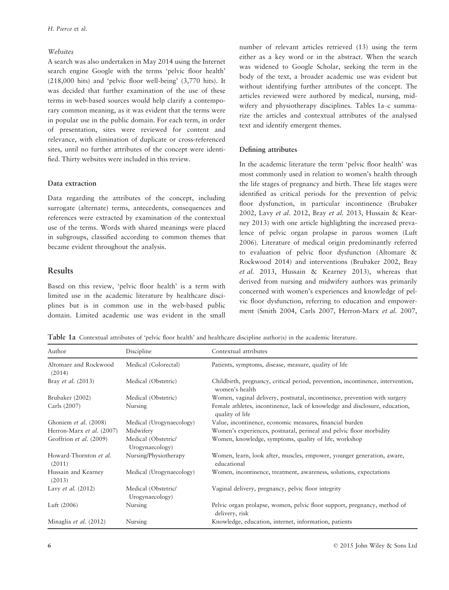#### Websites

A search was also undertaken in May 2014 using the Internet search engine Google with the terms 'pelvic floor health' (218,000 hits) and 'pelvic floor well-being' (3,770 hits). It was decided that further examination of the use of these terms in web-based sources would help clarify a contemporary common meaning, as it was evident that the terms were in popular use in the public domain. For each term, in order of presentation, sites were reviewed for content and relevance, with elimination of duplicate or cross-referenced sites, until no further attributes of the concept were identified. Thirty websites were included in this review.

#### Data extraction

Data regarding the attributes of the concept, including surrogate (alternate) terms, antecedents, consequences and references were extracted by examination of the contextual use of the terms. Words with shared meanings were placed in subgroups, classified according to common themes that became evident throughout the analysis.

#### Results

Based on this review, 'pelvic floor health' is a term with limited use in the academic literature by healthcare disciplines but is in common use in the web-based public domain. Limited academic use was evident in the small number of relevant articles retrieved (13) using the term either as a key word or in the abstract. When the search was widened to Google Scholar, seeking the term in the body of the text, a broader academic use was evident but without identifying further attributes of the concept. The articles reviewed were authored by medical, nursing, midwifery and physiotherapy disciplines. Tables 1a–c summarize the articles and contextual attributes of the analysed text and identify emergent themes.

#### Defining attributes

In the academic literature the term 'pelvic floor health' was most commonly used in relation to women's health through the life stages of pregnancy and birth. These life stages were identified as critical periods for the prevention of pelvic floor dysfunction, in particular incontinence (Brubaker 2002, Lavy et al. 2012, Bray et al. 2013, Hussain & Kearney 2013) with one article highlighting the increased prevalence of pelvic organ prolapse in parous women (Luft 2006). Literature of medical origin predominantly referred to evaluation of pelvic floor dysfunction (Altomare & Rockwood 2014) and interventions (Brubaker 2002, Bray et al. 2013, Hussain & Kearney 2013), whereas that derived from nursing and midwifery authors was primarily concerned with women's experiences and knowledge of pelvic floor dysfunction, referring to education and empowerment (Smith 2004, Carls 2007, Herron-Marx et al. 2007,

Table 1a Contextual attributes of 'pelvic floor health' and healthcare discipline author(s) in the academic literature.

| Author                           | Discipline                             | Contextual attributes                                                                             |
|----------------------------------|----------------------------------------|---------------------------------------------------------------------------------------------------|
| Altomare and Rockwood<br>(2014)  | Medical (Colorectal)                   | Patients, symptoms, disease, measure, quality of life                                             |
| Bray <i>et al.</i> (2013)        | Medical (Obstetric)                    | Childbirth, pregnancy, critical period, prevention, incontinence, intervention,<br>women's health |
| Brubaker (2002)                  | Medical (Obstetric)                    | Women, vaginal delivery, postnatal, incontinence, prevention with surgery                         |
| Carls (2007)                     | Nursing                                | Female athletes, incontinence, lack of knowledge and disclosure, education,<br>quality of life    |
| Ghoniem et al. (2008)            | Medical (Urogynaecology)               | Value, incontinence, economic measures, financial burden                                          |
| Herron-Marx et al. (2007)        | Midwifery                              | Women's experiences, postnatal, perineal and pelvic floor morbidity                               |
| Geoffrion et al. (2009)          | Medical (Obstetric/<br>Urogynaecology) | Women, knowledge, symptoms, quality of life, workshop                                             |
| Howard-Thornton et al.<br>(2011) | Nursing/Physiotherapy                  | Women, learn, look after, muscles, empower, younger generation, aware,<br>educational             |
| Hussain and Kearney<br>(2013)    | Medical (Urogynaecology)               | Women, incontinence, treatment, awareness, solutions, expectations                                |
| Lavy et al. $(2012)$             | Medical (Obstetric/<br>Urogynaecology) | Vaginal delivery, pregnancy, pelvic floor integrity                                               |
| Luft (2006)                      | Nursing                                | Pelvic organ prolapse, women, pelvic floor support, pregnancy, method of<br>delivery, risk        |
| Minaglia et al. (2012)           | Nursing                                | Knowledge, education, internet, information, patients                                             |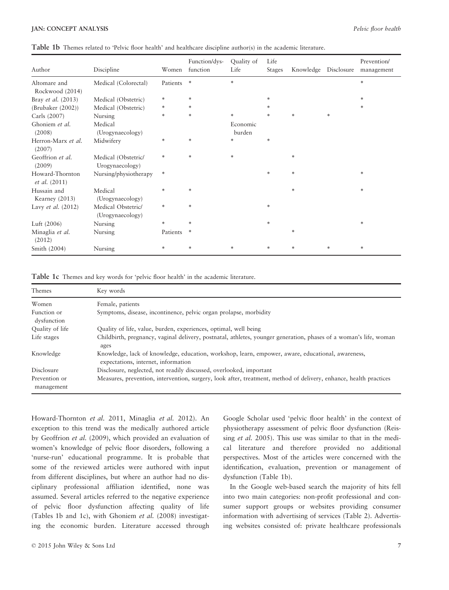#### JAN: CONCEPT ANALYSIS Pelvic floor health

|  |  | Table 1b Themes related to 'Pelvic floor health' and healthcare discipline author(s) in the academic literature |  |  |  |  |  |
|--|--|-----------------------------------------------------------------------------------------------------------------|--|--|--|--|--|
|--|--|-----------------------------------------------------------------------------------------------------------------|--|--|--|--|--|

| Author                           | Discipline                             | Women    | Function/dys-<br>function | Quality of<br>Life | Life<br><b>Stages</b> | Knowledge | Disclosure | Prevention/<br>management |
|----------------------------------|----------------------------------------|----------|---------------------------|--------------------|-----------------------|-----------|------------|---------------------------|
| Altomare and<br>Rockwood (2014)  | Medical (Colorectal)                   | Patients | $\ast$                    | $\ast$             |                       |           |            | $\ast$                    |
| Bray et al. (2013)               | Medical (Obstetric)                    | *        | $\ast$                    |                    | *                     |           |            | $\ast$                    |
| (Brubaker (2002))                | Medical (Obstetric)                    | *        | *                         |                    | *                     |           |            | *                         |
| Carls (2007)                     | Nursing                                | *        | *                         | $\ast$             | $\ast$                | *         | $\ast$     |                           |
| Ghoniem et al.<br>(2008)         | Medical<br>(Urogynaecology)            |          |                           | Economic<br>burden |                       |           |            |                           |
| Herron-Marx et al.<br>(2007)     | Midwifery                              | *        | *                         | $\ast$             | *                     |           |            |                           |
| Geoffrion et al.<br>(2009)       | Medical (Obstetric/<br>Urogynaecology) | *        | $\ast$                    | $\ast$             |                       | $\ast$    |            |                           |
| Howard-Thornton<br>et al. (2011) | Nursing/physiotherapy                  | *        |                           |                    | *                     | $\ast$    |            | $\ast$                    |
| Hussain and<br>Kearney (2013)    | Medical<br>(Urogynaecology)            | $\ast$   | *                         |                    |                       | $\ast$    |            | $\ast$                    |
| Lavy et al. (2012)               | Medical Obstetric/<br>(Urogynaecology) | *        | $\ast$                    |                    | *                     |           |            |                           |
| Luft (2006)                      | Nursing                                | $\ast$   | $\ast$                    |                    | *                     |           |            | $\ast$                    |
| Minaglia et al.<br>(2012)        | Nursing                                | Patients | *                         |                    |                       | $\ast$    |            |                           |
| Smith (2004)                     | Nursing                                | $\ast$   | $\ast$                    | *                  | *                     | $\ast$    | $\ast$     | $\ast$                    |

Table 1c Themes and key words for 'pelvic floor health' in the academic literature.

| Themes                      | Key words                                                                                                                                |
|-----------------------------|------------------------------------------------------------------------------------------------------------------------------------------|
| Women                       | Female, patients                                                                                                                         |
| Function or<br>dysfunction  | Symptoms, disease, incontinence, pelvic organ prolapse, morbidity                                                                        |
| Quality of life             | Quality of life, value, burden, experiences, optimal, well being                                                                         |
| Life stages                 | Childbirth, pregnancy, vaginal delivery, postnatal, athletes, younger generation, phases of a woman's life, woman<br>ages                |
| Knowledge                   | Knowledge, lack of knowledge, education, workshop, learn, empower, aware, educational, awareness,<br>expectations, internet, information |
| Disclosure                  | Disclosure, neglected, not readily discussed, overlooked, important                                                                      |
| Prevention or<br>management | Measures, prevention, intervention, surgery, look after, treatment, method of delivery, enhance, health practices                        |

Howard-Thornton et al. 2011, Minaglia et al. 2012). An exception to this trend was the medically authored article by Geoffrion et al. (2009), which provided an evaluation of women's knowledge of pelvic floor disorders, following a 'nurse-run' educational programme. It is probable that some of the reviewed articles were authored with input from different disciplines, but where an author had no disciplinary professional affiliation identified, none was assumed. Several articles referred to the negative experience of pelvic floor dysfunction affecting quality of life (Tables 1b and 1c), with Ghoniem et al. (2008) investigating the economic burden. Literature accessed through Google Scholar used 'pelvic floor health' in the context of physiotherapy assessment of pelvic floor dysfunction (Reissing et al. 2005). This use was similar to that in the medical literature and therefore provided no additional perspectives. Most of the articles were concerned with the identification, evaluation, prevention or management of dysfunction (Table 1b).

In the Google web-based search the majority of hits fell into two main categories: non-profit professional and consumer support groups or websites providing consumer information with advertising of services (Table 2). Advertising websites consisted of: private healthcare professionals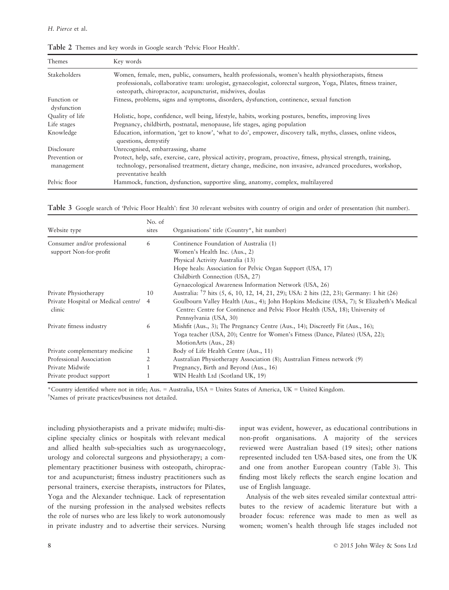| Themes                      | Key words                                                                                                                                                                                                                                                                             |
|-----------------------------|---------------------------------------------------------------------------------------------------------------------------------------------------------------------------------------------------------------------------------------------------------------------------------------|
| Stakeholders                | Women, female, men, public, consumers, health professionals, women's health physiotherapists, fitness<br>professionals, collaborative team: urologist, gynaecologist, colorectal surgeon, Yoga, Pilates, fitness trainer,<br>osteopath, chiropractor, acupuncturist, midwives, doulas |
| Function or<br>dysfunction  | Fitness, problems, signs and symptoms, disorders, dysfunction, continence, sexual function                                                                                                                                                                                            |
| Quality of life             | Holistic, hope, confidence, well being, lifestyle, habits, working postures, benefits, improving lives                                                                                                                                                                                |
| Life stages                 | Pregnancy, childbirth, postnatal, menopause, life stages, aging population                                                                                                                                                                                                            |
| Knowledge                   | Education, information, 'get to know', 'what to do', empower, discovery talk, myths, classes, online videos,<br>questions, demystify                                                                                                                                                  |
| Disclosure                  | Unrecognised, embarrassing, shame                                                                                                                                                                                                                                                     |
| Prevention or<br>management | Protect, help, safe, exercise, care, physical activity, program, proactive, fitness, physical strength, training,<br>technology, personalised treatment, dietary change, medicine, non invasive, advanced procedures, workshop,<br>preventative health                                |
| Pelvic floor                | Hammock, function, dysfunction, supportive sling, anatomy, complex, multilayered                                                                                                                                                                                                      |

Table 2 Themes and key words in Google search 'Pelvic Floor Health'.

Table 3 Google search of 'Pelvic Floor Health': first 30 relevant websites with country of origin and order of presentation (hit number).

| Website type                                    | No. of<br>sites | Organisations' title (Country <sup>*</sup> , hit number)                                                                                                                                              |  |  |  |
|-------------------------------------------------|-----------------|-------------------------------------------------------------------------------------------------------------------------------------------------------------------------------------------------------|--|--|--|
| Consumer and/or professional                    | 6               | Continence Foundation of Australia (1)                                                                                                                                                                |  |  |  |
| support Non-for-profit                          |                 | Women's Health Inc. (Aus., 2)                                                                                                                                                                         |  |  |  |
|                                                 |                 | Physical Activity Australia (13)                                                                                                                                                                      |  |  |  |
|                                                 |                 | Hope heals: Association for Pelvic Organ Support (USA, 17)                                                                                                                                            |  |  |  |
|                                                 |                 | Childbirth Connection (USA, 27)                                                                                                                                                                       |  |  |  |
|                                                 |                 | Gynaecological Awareness Information Network (USA, 26)                                                                                                                                                |  |  |  |
| Private Physiotherapy                           | 10              | Australia: <sup>†</sup> 7 hits (5, 6, 10, 12, 14, 21, 29); USA: 2 hits (22, 23); Germany: 1 hit (26)                                                                                                  |  |  |  |
| Private Hospital or Medical centre/ 4<br>clinic |                 | Goulbourn Valley Health (Aus., 4); John Hopkins Medicine (USA, 7); St Elizabeth's Medical<br>Centre: Centre for Continence and Pelvic Floor Health (USA, 18); University of<br>Pennsylvania (USA, 30) |  |  |  |
| Private fitness industry                        | 6               | Mishfit (Aus., 3); The Pregnancy Centre (Aus., 14); Discreetly Fit (Aus., 16);                                                                                                                        |  |  |  |
|                                                 |                 | Yoga teacher (USA, 20); Centre for Women's Fitness (Dance, Pilates) (USA, 22);                                                                                                                        |  |  |  |
|                                                 |                 | MotionArts (Aus., 28)                                                                                                                                                                                 |  |  |  |
| Private complementary medicine                  | 1               | Body of Life Health Centre (Aus., 11)                                                                                                                                                                 |  |  |  |
| Professional Association                        | 2               | Australian Physiotherapy Association (8); Australian Fitness network (9)                                                                                                                              |  |  |  |
| Private Midwife                                 | 1               | Pregnancy, Birth and Beyond (Aus., 16)                                                                                                                                                                |  |  |  |
| Private product support                         | 1               | WIN Health Ltd (Scotland UK, 19)                                                                                                                                                                      |  |  |  |

\*Country identified where not in title; Aus. = Australia, USA = Unites States of America, UK = United Kingdom.

† Names of private practices/business not detailed.

including physiotherapists and a private midwife; multi-discipline specialty clinics or hospitals with relevant medical and allied health sub-specialties such as urogynaecology, urology and colorectal surgeons and physiotherapy; a complementary practitioner business with osteopath, chiropractor and acupuncturist; fitness industry practitioners such as personal trainers, exercise therapists, instructors for Pilates, Yoga and the Alexander technique. Lack of representation of the nursing profession in the analysed websites reflects the role of nurses who are less likely to work autonomously in private industry and to advertise their services. Nursing input was evident, however, as educational contributions in non-profit organisations. A majority of the services reviewed were Australian based (19 sites); other nations represented included ten USA-based sites, one from the UK and one from another European country (Table 3). This finding most likely reflects the search engine location and use of English language.

Analysis of the web sites revealed similar contextual attributes to the review of academic literature but with a broader focus: reference was made to men as well as women; women's health through life stages included not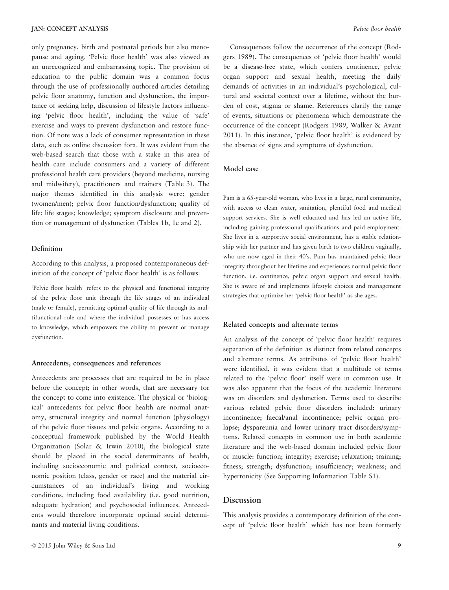only pregnancy, birth and postnatal periods but also menopause and ageing. 'Pelvic floor health' was also viewed as an unrecognized and embarrassing topic. The provision of education to the public domain was a common focus through the use of professionally authored articles detailing pelvic floor anatomy, function and dysfunction, the importance of seeking help, discussion of lifestyle factors influencing 'pelvic floor health', including the value of 'safe' exercise and ways to prevent dysfunction and restore function. Of note was a lack of consumer representation in these data, such as online discussion fora. It was evident from the web-based search that those with a stake in this area of health care include consumers and a variety of different professional health care providers (beyond medicine, nursing and midwifery), practitioners and trainers (Table 3). The major themes identified in this analysis were: gender (women/men); pelvic floor function/dysfunction; quality of life; life stages; knowledge; symptom disclosure and prevention or management of dysfunction (Tables 1b, 1c and 2).

#### Definition

According to this analysis, a proposed contemporaneous definition of the concept of 'pelvic floor health' is as follows:

'Pelvic floor health' refers to the physical and functional integrity of the pelvic floor unit through the life stages of an individual (male or female), permitting optimal quality of life through its multifunctional role and where the individual possesses or has access to knowledge, which empowers the ability to prevent or manage dysfunction.

#### Antecedents, consequences and references

Antecedents are processes that are required to be in place before the concept; in other words, that are necessary for the concept to come into existence. The physical or 'biological' antecedents for pelvic floor health are normal anatomy, structural integrity and normal function (physiology) of the pelvic floor tissues and pelvic organs. According to a conceptual framework published by the World Health Organization (Solar & Irwin 2010), the biological state should be placed in the social determinants of health, including socioeconomic and political context, socioeconomic position (class, gender or race) and the material circumstances of an individual's living and working conditions, including food availability (i.e. good nutrition, adequate hydration) and psychosocial influences. Antecedents would therefore incorporate optimal social determinants and material living conditions.

Consequences follow the occurrence of the concept (Rodgers 1989). The consequences of 'pelvic floor health' would be a disease-free state, which confers continence, pelvic organ support and sexual health, meeting the daily demands of activities in an individual's psychological, cultural and societal context over a lifetime, without the burden of cost, stigma or shame. References clarify the range of events, situations or phenomena which demonstrate the occurrence of the concept (Rodgers 1989, Walker & Avant 2011). In this instance, 'pelvic floor health' is evidenced by the absence of signs and symptoms of dysfunction.

#### Model case

Pam is a 65-year-old woman, who lives in a large, rural community, with access to clean water, sanitation, plentiful food and medical support services. She is well educated and has led an active life, including gaining professional qualifications and paid employment. She lives in a supportive social environment, has a stable relationship with her partner and has given birth to two children vaginally, who are now aged in their 40's. Pam has maintained pelvic floor integrity throughout her lifetime and experiences normal pelvic floor function, i.e. continence, pelvic organ support and sexual health. She is aware of and implements lifestyle choices and management strategies that optimize her 'pelvic floor health' as she ages.

#### Related concepts and alternate terms

An analysis of the concept of 'pelvic floor health' requires separation of the definition as distinct from related concepts and alternate terms. As attributes of 'pelvic floor health' were identified, it was evident that a multitude of terms related to the 'pelvic floor' itself were in common use. It was also apparent that the focus of the academic literature was on disorders and dysfunction. Terms used to describe various related pelvic floor disorders included: urinary incontinence; faecal/anal incontinence; pelvic organ prolapse; dyspareunia and lower urinary tract disorders/symptoms. Related concepts in common use in both academic literature and the web-based domain included pelvic floor or muscle: function; integrity; exercise; relaxation; training; fitness; strength; dysfunction; insufficiency; weakness; and hypertonicity (See Supporting Information Table S1).

## **Discussion**

This analysis provides a contemporary definition of the concept of 'pelvic floor health' which has not been formerly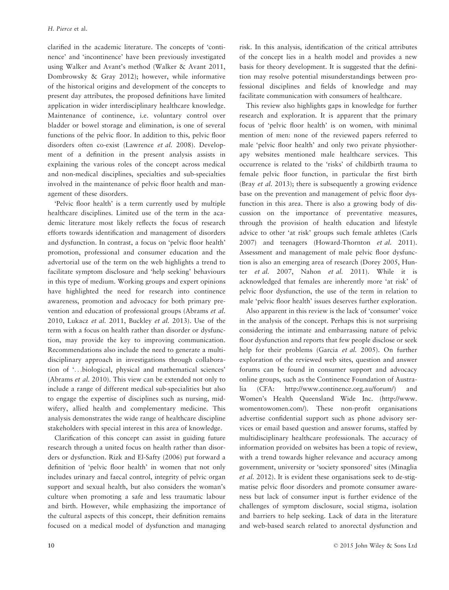clarified in the academic literature. The concepts of 'continence' and 'incontinence' have been previously investigated using Walker and Avant's method (Walker & Avant 2011, Dombrowsky & Gray 2012); however, while informative of the historical origins and development of the concepts to present day attributes, the proposed definitions have limited application in wider interdisciplinary healthcare knowledge. Maintenance of continence, i.e. voluntary control over bladder or bowel storage and elimination, is one of several functions of the pelvic floor. In addition to this, pelvic floor disorders often co-exist (Lawrence et al. 2008). Development of a definition in the present analysis assists in explaining the various roles of the concept across medical and non-medical disciplines, specialties and sub-specialties involved in the maintenance of pelvic floor health and management of these disorders.

'Pelvic floor health' is a term currently used by multiple healthcare disciplines. Limited use of the term in the academic literature most likely reflects the focus of research efforts towards identification and management of disorders and dysfunction. In contrast, a focus on 'pelvic floor health' promotion, professional and consumer education and the advertorial use of the term on the web highlights a trend to facilitate symptom disclosure and 'help seeking' behaviours in this type of medium. Working groups and expert opinions have highlighted the need for research into continence awareness, promotion and advocacy for both primary prevention and education of professional groups (Abrams et al. 2010, Lukacz et al. 2011, Buckley et al. 2013). Use of the term with a focus on health rather than disorder or dysfunction, may provide the key to improving communication. Recommendations also include the need to generate a multidisciplinary approach in investigations through collaboration of '...biological, physical and mathematical sciences' (Abrams et al. 2010). This view can be extended not only to include a range of different medical sub-specialities but also to engage the expertise of disciplines such as nursing, midwifery, allied health and complementary medicine. This analysis demonstrates the wide range of healthcare discipline stakeholders with special interest in this area of knowledge.

Clarification of this concept can assist in guiding future research through a united focus on health rather than disorders or dysfunction. Rizk and El-Safty (2006) put forward a definition of 'pelvic floor health' in women that not only includes urinary and faecal control, integrity of pelvic organ support and sexual health, but also considers the woman's culture when promoting a safe and less traumatic labour and birth. However, while emphasizing the importance of the cultural aspects of this concept, their definition remains focused on a medical model of dysfunction and managing

risk. In this analysis, identification of the critical attributes of the concept lies in a health model and provides a new basis for theory development. It is suggested that the definition may resolve potential misunderstandings between professional disciplines and fields of knowledge and may facilitate communication with consumers of healthcare.

This review also highlights gaps in knowledge for further research and exploration. It is apparent that the primary focus of 'pelvic floor health' is on women, with minimal mention of men: none of the reviewed papers referred to male 'pelvic floor health' and only two private physiotherapy websites mentioned male healthcare services. This occurrence is related to the 'risks' of childbirth trauma to female pelvic floor function, in particular the first birth (Bray et al. 2013); there is subsequently a growing evidence base on the prevention and management of pelvic floor dysfunction in this area. There is also a growing body of discussion on the importance of preventative measures, through the provision of health education and lifestyle advice to other 'at risk' groups such female athletes (Carls 2007) and teenagers (Howard-Thornton et al. 2011). Assessment and management of male pelvic floor dysfunction is also an emerging area of research (Dorey 2005, Hunter et al. 2007, Nahon et al. 2011). While it is acknowledged that females are inherently more 'at risk' of pelvic floor dysfunction, the use of the term in relation to male 'pelvic floor health' issues deserves further exploration.

Also apparent in this review is the lack of 'consumer' voice in the analysis of the concept. Perhaps this is not surprising considering the intimate and embarrassing nature of pelvic floor dysfunction and reports that few people disclose or seek help for their problems (Garcia et al. 2005). On further exploration of the reviewed web sites, question and answer forums can be found in consumer support and advocacy online groups, such as the Continence Foundation of Australia (CFA:<http://www.continence.org.au/forum/>) and Women's Health Queensland Wide Inc. [\(http://www.](http://www.womentowomen.com/) [womentowomen.com/\)](http://www.womentowomen.com/). These non-profit organisations advertise confidential support such as phone advisory services or email based question and answer forums, staffed by multidisciplinary healthcare professionals. The accuracy of information provided on websites has been a topic of review, with a trend towards higher relevance and accuracy among government, university or 'society sponsored' sites (Minaglia et al. 2012). It is evident these organisations seek to de-stigmatise pelvic floor disorders and promote consumer awareness but lack of consumer input is further evidence of the challenges of symptom disclosure, social stigma, isolation and barriers to help seeking. Lack of data in the literature and web-based search related to anorectal dysfunction and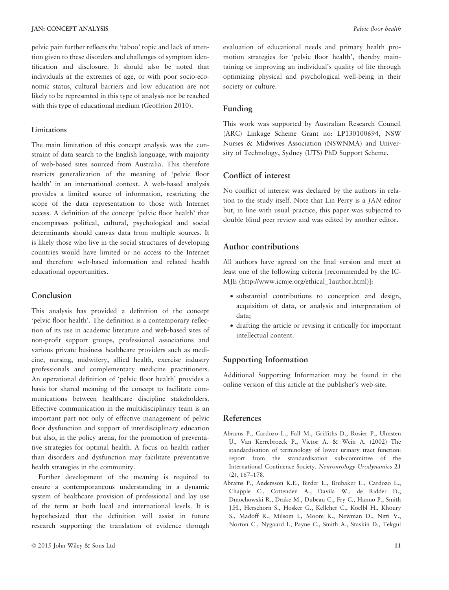pelvic pain further reflects the 'taboo' topic and lack of attention given to these disorders and challenges of symptom identification and disclosure. It should also be noted that individuals at the extremes of age, or with poor socio-economic status, cultural barriers and low education are not likely to be represented in this type of analysis nor be reached with this type of educational medium (Geoffrion 2010).

#### Limitations

The main limitation of this concept analysis was the constraint of data search to the English language, with majority of web-based sites sourced from Australia. This therefore restricts generalization of the meaning of 'pelvic floor health' in an international context. A web-based analysis provides a limited source of information, restricting the scope of the data representation to those with Internet access. A definition of the concept 'pelvic floor health' that encompasses political, cultural, psychological and social determinants should canvas data from multiple sources. It is likely those who live in the social structures of developing countries would have limited or no access to the Internet and therefore web-based information and related health educational opportunities.

# Conclusion

This analysis has provided a definition of the concept 'pelvic floor health'. The definition is a contemporary reflection of its use in academic literature and web-based sites of non-profit support groups, professional associations and various private business healthcare providers such as medicine, nursing, midwifery, allied health, exercise industry professionals and complementary medicine practitioners. An operational definition of 'pelvic floor health' provides a basis for shared meaning of the concept to facilitate communications between healthcare discipline stakeholders. Effective communication in the multidisciplinary team is an important part not only of effective management of pelvic floor dysfunction and support of interdisciplinary education but also, in the policy arena, for the promotion of preventative strategies for optimal health. A focus on health rather than disorders and dysfunction may facilitate preventative health strategies in the community.

Further development of the meaning is required to ensure a contemporaneous understanding in a dynamic system of healthcare provision of professional and lay use of the term at both local and international levels. It is hypothesized that the definition will assist in future research supporting the translation of evidence through evaluation of educational needs and primary health promotion strategies for 'pelvic floor health', thereby maintaining or improving an individual's quality of life through optimizing physical and psychological well-being in their society or culture.

#### Funding

This work was supported by Australian Research Council (ARC) Linkage Scheme Grant no: LP130100694, NSW Nurses & Midwives Association (NSWNMA) and University of Technology, Sydney (UTS) PhD Support Scheme.

## Conflict of interest

No conflict of interest was declared by the authors in relation to the study itself. Note that Lin Perry is a JAN editor but, in line with usual practice, this paper was subjected to double blind peer review and was edited by another editor.

## Author contributions

All authors have agreed on the final version and meet at least one of the following criteria [recommended by the IC-MJE [\(http://www.icmje.org/ethical\\_1author.html\)](http://www.icmje.org/ethical_1author.html)]:

- substantial contributions to conception and design, acquisition of data, or analysis and interpretation of data;
- drafting the article or revising it critically for important intellectual content.

## Supporting Information

Additional Supporting Information may be found in the online version of this article at the publisher's web-site.

## References

- Abrams P., Cardozo L., Fall M., Griffiths D., Rosier P., Ulmsten U., Van Kerrebroeck P., Victor A. & Wein A. (2002) The standardisation of terminology of lower urinary tract function: report from the standardisation sub-committee of the International Continence Society. Neurourology Urodynamics 21 (2), 167–178.
- Abrams P., Andersson K.E., Birder L., Brubaker L., Cardozo L., Chapple C., Cottenden A., Davila W., de Ridder D., Dmochowski R., Drake M., Dubeau C., Fry C., Hanno P., Smith J.H., Herschorn S., Hosker G., Kelleher C., Koelbl H., Khoury S., Madoff R., Milsom I., Moore K., Newman D., Nitti V., Norton C., Nygaard I., Payne C., Smith A., Staskin D., Tekgul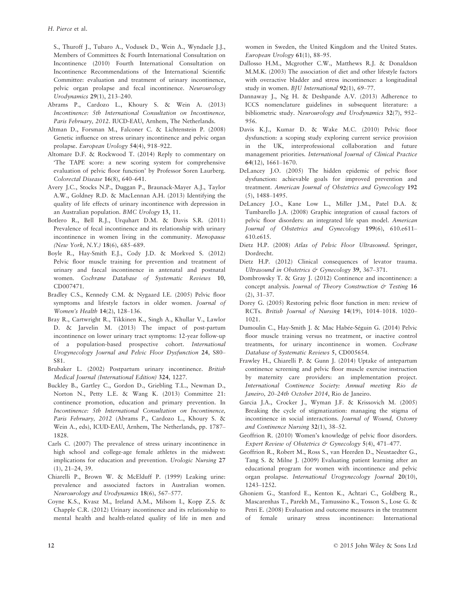S., Thuroff J., Tubaro A., Vodusek D., Wein A., Wyndaele J.J., Members of Committees & Fourth International Consultation on Incontinence (2010) Fourth International Consultation on Incontinence Recommendations of the International Scientific Committee: evaluation and treatment of urinary incontinence, pelvic organ prolapse and fecal incontinence. Neurourology Urodynamics 29(1), 213–240.

- Abrams P., Cardozo L., Khoury S. & Wein A. (2013) Incontinence: 5th International Consultation on Incontinence, Paris February, 2012. IUCD-EAU, Arnhem, The Netherlands.
- Altman D., Forsman M., Falconer C. & Lichtenstein P. (2008) Genetic influence on stress urinary incontinence and pelvic organ prolapse. European Urology 54(4), 918–922.
- Altomare D.F. & Rockwood T. (2014) Reply to commentary on 'The TAPE score: a new scoring system for comprehensive evaluation of pelvic floor function' by Professor Soren Laurberg. Colorectal Disease 16(8), 640–641.
- Avery J.C., Stocks N.P., Duggan P., Braunack-Mayer A.J., Taylor A.W., Goldney R.D. & MacLennan A.H. (2013) Identifying the quality of life effects of urinary incontinence with depression in an Australian population. BMC Urology 13, 11.
- Botlero R., Bell R.J., Urquhart D.M. & Davis S.R. (2011) Prevalence of fecal incontinence and its relationship with urinary incontinence in women living in the community. Menopause (New York, N.Y.) 18(6), 685–689.
- Boyle R., Hay-Smith E.J., Cody J.D. & Morkved S. (2012) Pelvic floor muscle training for prevention and treatment of urinary and faecal incontinence in antenatal and postnatal women. Cochrane Database of Systematic Reviews 10, CD007471.
- Bradley C.S., Kennedy C.M. & Nygaard I.E. (2005) Pelvic floor symptoms and lifestyle factors in older women. Journal of Women's Health 14(2), 128–136.
- Bray R., Cartwright R., Tikkinen K., Singh A., Khullar V., Lawlor D. & Jarvelin M. (2013) The impact of post-partum incontinence on lower urinary tract symptoms: 12-year follow-up of a population-based prospective cohort. International Urogynecology Journal and Pelvic Floor Dysfunction 24, S80– S81.
- Brubaker L. (2002) Postpartum urinary incontinence. British Medical Journal (International Edition) 324, 1227.
- Buckley B., Gartley C., Gordon D., Griebling T.L., Newman D., Norton N., Petty L.E. & Wang K. (2013) Committee 21: continence promotion, education and primary prevention. In Incontinence: 5th International Consultation on Incontinence, Paris February, 2012 (Abrams P., Cardozo L., Khoury S. & Wein A., eds), ICUD-EAU, Arnhem, The Netherlands, pp. 1787– 1828.
- Carls C. (2007) The prevalence of stress urinary incontinence in high school and college-age female athletes in the midwest: implications for education and prevention. Urologic Nursing 27 (1), 21–24, 39.
- Chiarelli P., Brown W. & McElduff P. (1999) Leaking urine: prevalence and associated factors in Australian women. Neurourology and Urodynamics 18(6), 567–577.
- Coyne K.S., Kvasz M., Ireland A.M., Milsom I., Kopp Z.S. & Chapple C.R. (2012) Urinary incontinence and its relationship to mental health and health-related quality of life in men and

women in Sweden, the United Kingdom and the United States. European Urology 61(1), 88–95.

- Dallosso H.M., Mcgrother C.W., Matthews R.J. & Donaldson M.M.K. (2003) The association of diet and other lifestyle factors with overactive bladder and stress incontinence: a longitudinal study in women. BJU International 92(1), 69–77.
- Dannaway J., Ng H. & Deshpande A.V. (2013) Adherence to ICCS nomenclature guidelines in subsequent literature: a bibliometric study. Neurourology and Urodynamics 32(7), 952– 956.
- Davis K.J., Kumar D. & Wake M.C. (2010) Pelvic floor dysfunction: a scoping study exploring current service provision in the UK, interprofessional collaboration and future management priorities. International Journal of Clinical Practice 64(12), 1661–1670.
- DeLancey J.O. (2005) The hidden epidemic of pelvic floor dysfunction: achievable goals for improved prevention and treatment. American Journal of Obstetrics and Gynecology 192 (5), 1488–1495.
- DeLancey J.O., Kane Low L., Miller J.M., Patel D.A. & Tumbarello J.A. (2008) Graphic integration of causal factors of pelvic floor disorders: an integrated life span model. American Journal of Obstetrics and Gynecology 199(6), 610.e611– 610.e615.
- Dietz H.P. (2008) Atlas of Pelvic Floor Ultrasound. Springer, Dordrecht.
- Dietz H.P. (2012) Clinical consequences of levator trauma. Ultrasound in Obstetrics & Gynecology 39, 367-371.
- Dombrowsky T. & Gray J. (2012) Continence and incontinence: a concept analysis. Journal of Theory Construction & Testing 16 (2), 31–37.
- Dorey G. (2005) Restoring pelvic floor function in men: review of RCTs. British Journal of Nursing 14(19), 1014–1018. 1020– 1021.
- Dumoulin C., Hay-Smith J. & Mac Habée-Séguin G. (2014) Pelvic floor muscle training versus no treatment, or inactive control treatments, for urinary incontinence in women. Cochrane Database of Systematic Reviews 5, CD005654.
- Frawley H., Chiarelli P. & Gunn J. (2014) Uptake of antepartum continence screening and pelvic floor muscle exercise instruction by maternity care providers: an implementation project. International Continence Society: Annual meeting Rio de Janeiro, 20–24th October 2014, Rio de Janeiro.
- Garcia J.A., Crocker J., Wyman J.F. & Krissovich M. (2005) Breaking the cycle of stigmatization: managing the stigma of incontinence in social interactions. Journal of Wound, Ostomy and Continence Nursing 32(1), 38–52.
- Geoffrion R. (2010) Women's knowledge of pelvic floor disorders. Expert Review of Obstetrics & Gynecology 5(4), 471-477.
- Geoffrion R., Robert M., Ross S., van Heerden D., Neustaedter G., Tang S. & Milne J. (2009) Evaluating patient learning after an educational program for women with incontinence and pelvic organ prolapse. International Urogynecology Journal 20(10), 1243–1252.
- Ghoniem G., Stanford E., Kenton K., Achtari C., Goldberg R., Mascarenhas T., Parekh M., Tamussino K., Tosson S., Lose G. & Petri E. (2008) Evaluation and outcome measures in the treatment of female urinary stress incontinence: International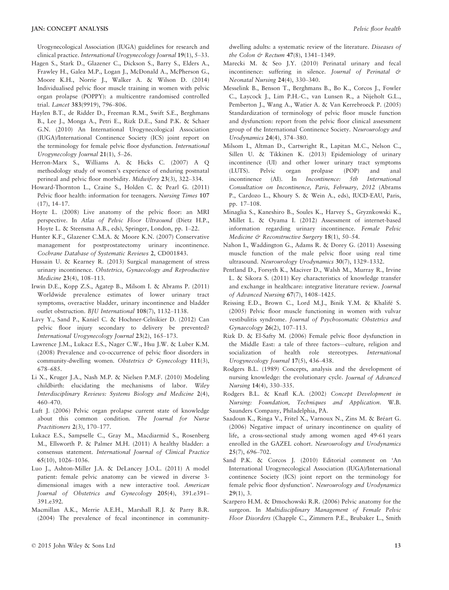Urogynecological Association (IUGA) guidelines for research and clinical practice. International Urogynecology Journal 19(1), 5–33.

- Hagen S., Stark D., Glazener C., Dickson S., Barry S., Elders A., Frawley H., Galea M.P., Logan J., McDonald A., McPherson G., Moore K.H., Norrie J., Walker A. & Wilson D. (2014) Individualised pelvic floor muscle training in women with pelvic organ prolapse (POPPY): a multicentre randomised controlled trial. Lancet 383(9919), 796–806.
- Haylen B.T., de Ridder D., Freeman R.M., Swift S.E., Berghmans B., Lee J., Monga A., Petri E., Rizk D.E., Sand P.K. & Schaer G.N. (2010) An International Urogynecological Association (IUGA)/International Continence Society (ICS) joint report on the terminology for female pelvic floor dysfunction. International Urogynecology Journal 21(1), 5–26.
- Herron-Marx S., Williams A. & Hicks C. (2007) A Q methodology study of women's experience of enduring postnatal perineal and pelvic floor morbidity. Midwifery 23(3), 322–334.
- Howard-Thornton L., Craine S., Holden C. & Pearl G. (2011) Pelvic floor health: information for teenagers. Nursing Times 107 (17), 14–17.
- Hoyte L. (2008) Live anatomy of the pelvic floor: an MRI perspective. In Atlas of Pelvic Floor Ultraound (Dietz H.P., Hoyte L. & Steensma A.B., eds), Springer, London, pp. 1–22.
- Hunter K.F., Glazener C.M.A. & Moore K.N. (2007) Conservative management for postprostatectomy urinary incontinence. Cochrane Database of Systematic Reviews 2, CD001843.
- Hussain U. & Kearney R. (2013) Surgical management of stress urinary incontinence. Obstetrics, Gynaecology and Reproductive Medicine 23(4), 108–113.
- Irwin D.E., Kopp Z.S., Agatep B., Milsom I. & Abrams P. (2011) Worldwide prevalence estimates of lower urinary tract symptoms, overactive bladder, urinary incontinence and bladder outlet obstruction. BJU International 108(7), 1132–1138.
- Lavy Y., Sand P., Kaniel C. & Hochner-Celnikier D. (2012) Can pelvic floor injury secondary to delivery be prevented? International Urogynecology Journal 23(2), 165–173.
- Lawrence J.M., Lukacz E.S., Nager C.W., Hsu J.W. & Luber K.M. (2008) Prevalence and co-occurrence of pelvic floor disorders in community-dwelling women. Obstetrics & Gynecology 111(3), 678–685.
- Li X., Kruger J.A., Nash M.P. & Nielsen P.M.F. (2010) Modeling childbirth: elucidating the mechanisms of labor. Wiley Interdisciplinary Reviews: Systems Biology and Medicine 2(4), 460–470.
- Luft J. (2006) Pelvic organ prolapse current state of knowledge about this common condition. The Journal for Nurse Practitioners 2(3), 170–177.
- Lukacz E.S., Sampselle C., Gray M., Macdiarmid S., Rosenberg M., Ellsworth P. & Palmer M.H. (2011) A healthy bladder: a consensus statement. International Journal of Clinical Practice 65(10), 1026–1036.
- Luo J., Ashton-Miller J.A. & DeLancey J.O.L. (2011) A model patient: female pelvic anatomy can be viewed in diverse 3 dimensional images with a new interactive tool. American Journal of Obstetrics and Gynecology 205(4), 391.e391– 391.e392.
- Macmillan A.K., Merrie A.E.H., Marshall R.J. & Parry B.R. (2004) The prevalence of fecal incontinence in community-

dwelling adults: a systematic review of the literature. Diseases of the Colon & Rectum  $47(8)$ , 1341-1349.

- Marecki M. & Seo J.Y. (2010) Perinatal urinary and fecal incontinence: suffering in silence. Journal of Perinatal & Neonatal Nursing 24(4), 330–340.
- Messelink B., Benson T., Berghmans B., Bo K., Corcos J., Fowler C., Laycock J., Lim P.H.-C., van Lunsen R., a Nijeholt G.L., Pemberton J., Wang A., Watier A. & Van Kerrebroeck P. (2005) Standardization of terminology of pelvic floor muscle function and dysfunction: report from the pelvic floor clinical assessment group of the International Continence Society. Neurourology and Urodynamics 24(4), 374–380.
- Milsom I., Altman D., Cartwright R., Lapitan M.C., Nelson C., Sillen U. & Tikkinen K. (2013) Epidemiology of urinary incontinence (UI) and other lower urinary tract symptoms (LUTS). Pelvic organ prolpase (POP) and anal incontinence (AI). In Incontinence: 5th International Consultation on Incontinence, Paris, February, 2012 (Abrams P., Cardozo L., Khoury S. & Wein A., eds), IUCD-EAU, Paris, pp. 17–108.
- Minaglia S., Kaneshiro B., Soules K., Harvey S., Gryznkowski K., Millet L. & Oyama I. (2012) Assessment of internet-based information regarding urinary incontinence. Female Pelvic Medicine & Reconstructive Surgery 18(1), 50-54.
- Nahon I., Waddington G., Adams R. & Dorey G. (2011) Assessing muscle function of the male pelvic floor using real time ultrasound. Neurourology Urodynamics 30(7), 1329–1332.
- Pentland D., Forsyth K., Maciver D., Walsh M., Murray R., Irvine L. & Sikora S. (2011) Key characteristics of knowledge transfer and exchange in healthcare: integrative literature review. Journal of Advanced Nursing 67(7), 1408–1425.
- Reissing E.D., Brown C., Lord M.J., Binik Y.M. & Khalifé S. (2005) Pelvic floor muscle functioning in women with vulvar vestibulitis syndrome. Journal of Psychosomatic Obstetrics and Gynaecology 26(2), 107–113.
- Rizk D. & El-Safty M. (2006) Female pelvic floor dysfunction in the Middle East: a tale of three factors—culture, religion and socialization of health role stereotypes. International Urogynecology Journal 17(5), 436–438.
- Rodgers B.L. (1989) Concepts, analysis and the development of nursing knowledge: the evolutionary cycle. Journal of Advanced Nursing 14(4), 330–335.
- Rodgers B.L. & Knafl K.A. (2002) Concept Development in Nursing: Foundation, Techniques and Application. W.B. Saunders Company, Philadelphia, PA.
- Saadoun K., Ringa V., Fritel X., Varnoux N., Zins M. & Bréart G. (2006) Negative impact of urinary incontinence on quality of life, a cross-sectional study among women aged 49-61 years enrolled in the GAZEL cohort. Neurourology and Urodynamics 25(7), 696–702.
- Sand P.K. & Corcos J. (2010) Editorial comment on 'An International Urogynecological Association (IUGA)/International continence Society (ICS) joint report on the terminology for female pelvic floor dysfunction'. Neurourology and Urodynamics  $29(1)$ , 3.
- Scarpero H.M. & Dmochowski R.R. (2006) Pelvic anatomy for the surgeon. In Multidisciplinary Management of Female Pelvic Floor Disorders (Chapple C., Zimmern P.E., Brubaker L., Smith